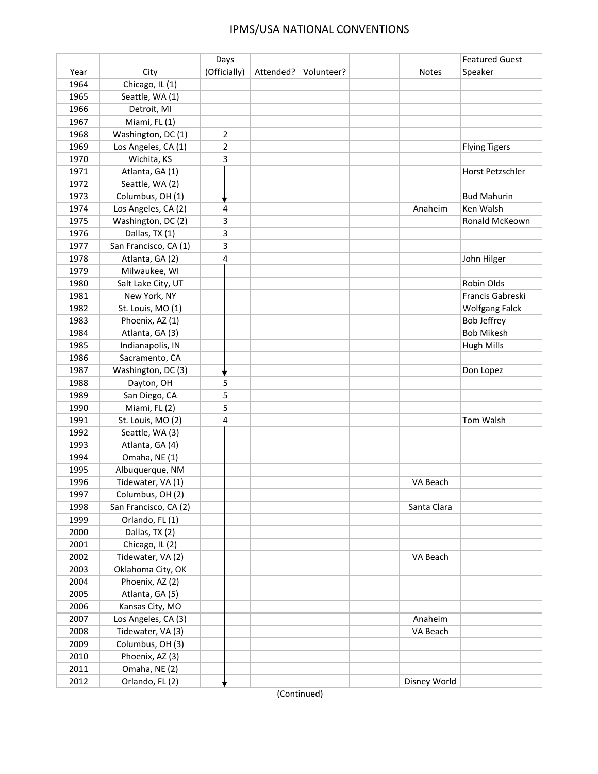## IPMS/USA NATIONAL CONVENTIONS

|      |                       | Days           |           |            |              | <b>Featured Guest</b> |
|------|-----------------------|----------------|-----------|------------|--------------|-----------------------|
| Year | City                  | (Officially)   | Attended? | Volunteer? | <b>Notes</b> | Speaker               |
| 1964 | Chicago, IL (1)       |                |           |            |              |                       |
| 1965 | Seattle, WA (1)       |                |           |            |              |                       |
| 1966 | Detroit, MI           |                |           |            |              |                       |
| 1967 | Miami, FL(1)          |                |           |            |              |                       |
| 1968 | Washington, DC (1)    | $\overline{2}$ |           |            |              |                       |
| 1969 | Los Angeles, CA (1)   | 2              |           |            |              | <b>Flying Tigers</b>  |
| 1970 | Wichita, KS           | 3              |           |            |              |                       |
| 1971 | Atlanta, GA (1)       |                |           |            |              | Horst Petzschler      |
| 1972 | Seattle, WA (2)       |                |           |            |              |                       |
| 1973 | Columbus, OH (1)      |                |           |            |              | <b>Bud Mahurin</b>    |
| 1974 | Los Angeles, CA (2)   | 4              |           |            | Anaheim      | Ken Walsh             |
| 1975 | Washington, DC (2)    | 3              |           |            |              | Ronald McKeown        |
| 1976 | Dallas, TX (1)        | 3              |           |            |              |                       |
| 1977 | San Francisco, CA (1) | 3              |           |            |              |                       |
| 1978 | Atlanta, GA (2)       | 4              |           |            |              | John Hilger           |
| 1979 | Milwaukee, WI         |                |           |            |              |                       |
| 1980 | Salt Lake City, UT    |                |           |            |              | <b>Robin Olds</b>     |
| 1981 | New York, NY          |                |           |            |              | Francis Gabreski      |
| 1982 | St. Louis, MO (1)     |                |           |            |              | <b>Wolfgang Falck</b> |
| 1983 | Phoenix, AZ (1)       |                |           |            |              | <b>Bob Jeffrey</b>    |
| 1984 | Atlanta, GA (3)       |                |           |            |              | <b>Bob Mikesh</b>     |
| 1985 | Indianapolis, IN      |                |           |            |              | <b>Hugh Mills</b>     |
| 1986 | Sacramento, CA        |                |           |            |              |                       |
| 1987 | Washington, DC (3)    | ▼              |           |            |              | Don Lopez             |
| 1988 | Dayton, OH            | 5              |           |            |              |                       |
| 1989 | San Diego, CA         | 5              |           |            |              |                       |
| 1990 | Miami, FL(2)          | 5              |           |            |              |                       |
| 1991 | St. Louis, MO (2)     | 4              |           |            |              | Tom Walsh             |
| 1992 | Seattle, WA (3)       |                |           |            |              |                       |
| 1993 | Atlanta, GA (4)       |                |           |            |              |                       |
| 1994 | Omaha, NE (1)         |                |           |            |              |                       |
| 1995 | Albuquerque, NM       |                |           |            |              |                       |
| 1996 | Tidewater, VA (1)     |                |           |            | VA Beach     |                       |
| 1997 | Columbus, OH (2)      |                |           |            |              |                       |
| 1998 | San Francisco, CA (2) |                |           |            | Santa Clara  |                       |
| 1999 | Orlando, FL (1)       |                |           |            |              |                       |
| 2000 | Dallas, TX (2)        |                |           |            |              |                       |
| 2001 | Chicago, IL (2)       |                |           |            |              |                       |
| 2002 | Tidewater, VA (2)     |                |           |            | VA Beach     |                       |
| 2003 | Oklahoma City, OK     |                |           |            |              |                       |
| 2004 | Phoenix, AZ (2)       |                |           |            |              |                       |
| 2005 | Atlanta, GA (5)       |                |           |            |              |                       |
| 2006 | Kansas City, MO       |                |           |            |              |                       |
| 2007 | Los Angeles, CA (3)   |                |           |            | Anaheim      |                       |
| 2008 | Tidewater, VA (3)     |                |           |            | VA Beach     |                       |
| 2009 | Columbus, OH (3)      |                |           |            |              |                       |
| 2010 | Phoenix, AZ (3)       |                |           |            |              |                       |
| 2011 | Omaha, NE (2)         |                |           |            |              |                       |
|      |                       |                |           |            |              |                       |
| 2012 | Orlando, FL (2)       |                |           |            | Disney World |                       |

(Continued)